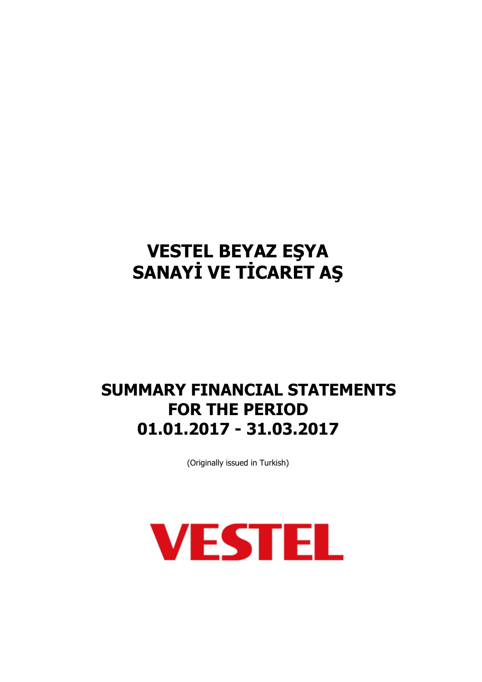## **SUMMARY FINANCIAL STATEMENTS FOR THE PERIOD 01.01.2017 - 31.03.2017**

(Originally issued in Turkish)

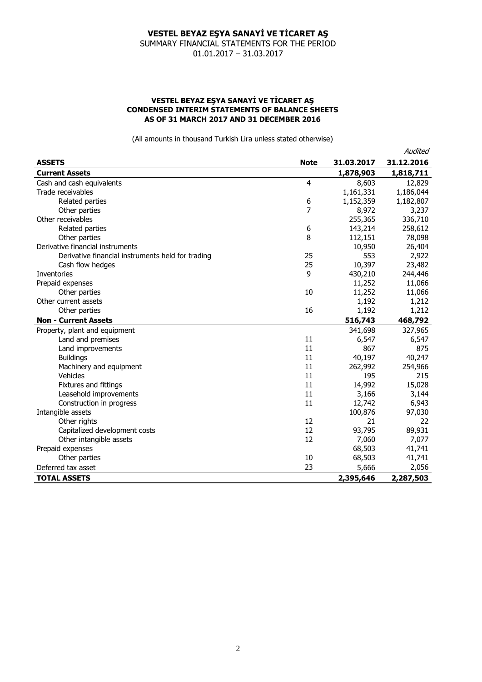SUMMARY FINANCIAL STATEMENTS FOR THE PERIOD 01.01.2017 – 31.03.2017

#### **VESTEL BEYAZ EŞYA SANAYİ VE TİCARET AŞ CONDENSED INTERIM STATEMENTS OF BALANCE SHEETS AS OF 31 MARCH 2017 AND 31 DECEMBER 2016**

(All amounts in thousand Turkish Lira unless stated otherwise)

Audited

|                                                   |             |            | nuuruu     |
|---------------------------------------------------|-------------|------------|------------|
| <b>ASSETS</b>                                     | <b>Note</b> | 31.03.2017 | 31.12.2016 |
| <b>Current Assets</b>                             |             | 1,878,903  | 1,818,711  |
| Cash and cash equivalents                         | 4           | 8,603      | 12,829     |
| Trade receivables                                 |             | 1,161,331  | 1,186,044  |
| Related parties                                   | 6           | 1,152,359  | 1,182,807  |
| Other parties                                     | 7           | 8,972      | 3,237      |
| Other receivables                                 |             | 255,365    | 336,710    |
| Related parties                                   | 6           | 143,214    | 258,612    |
| Other parties                                     | 8           | 112,151    | 78,098     |
| Derivative financial instruments                  |             | 10,950     | 26,404     |
| Derivative financial instruments held for trading | 25          | 553        | 2,922      |
| Cash flow hedges                                  | 25          | 10,397     | 23,482     |
| <b>Inventories</b>                                | 9           | 430,210    | 244,446    |
| Prepaid expenses                                  |             | 11,252     | 11,066     |
| Other parties                                     | 10          | 11,252     | 11,066     |
| Other current assets                              |             | 1,192      | 1,212      |
| Other parties                                     | 16          | 1,192      | 1,212      |
| <b>Non - Current Assets</b>                       |             | 516,743    | 468,792    |
| Property, plant and equipment                     |             | 341,698    | 327,965    |
| Land and premises                                 | 11          | 6,547      | 6,547      |
| Land improvements                                 | 11          | 867        | 875        |
| <b>Buildings</b>                                  | 11          | 40,197     | 40,247     |
| Machinery and equipment                           | 11          | 262,992    | 254,966    |
| Vehicles                                          | 11          | 195        | 215        |
| Fixtures and fittings                             | 11          | 14,992     | 15,028     |
| Leasehold improvements                            | 11          | 3,166      | 3,144      |
| Construction in progress                          | 11          | 12,742     | 6,943      |
| Intangible assets                                 |             | 100,876    | 97,030     |
| Other rights                                      | 12          | 21         | 22         |
| Capitalized development costs                     | 12          | 93,795     | 89,931     |
| Other intangible assets                           | 12          | 7,060      | 7,077      |
| Prepaid expenses                                  |             | 68,503     | 41,741     |
| Other parties                                     | 10          | 68,503     | 41,741     |
| Deferred tax asset                                | 23          | 5,666      | 2,056      |
| <b>TOTAL ASSETS</b>                               |             | 2,395,646  | 2,287,503  |
|                                                   |             |            |            |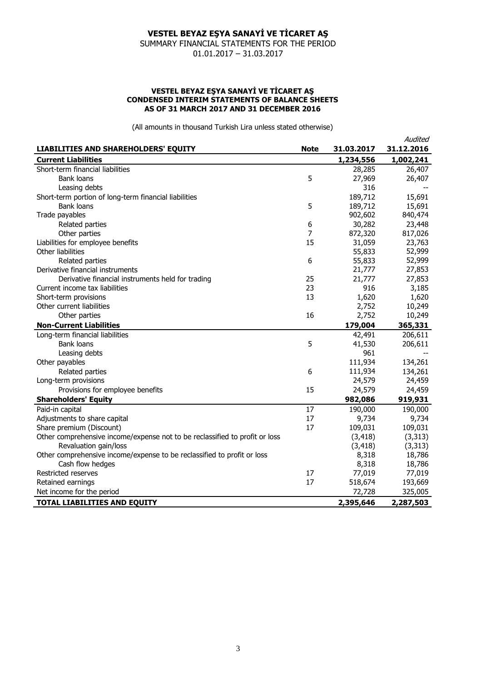SUMMARY FINANCIAL STATEMENTS FOR THE PERIOD 01.01.2017 – 31.03.2017

#### **VESTEL BEYAZ EŞYA SANAYİ VE TİCARET AŞ CONDENSED INTERIM STATEMENTS OF BALANCE SHEETS AS OF 31 MARCH 2017 AND 31 DECEMBER 2016**

(All amounts in thousand Turkish Lira unless stated otherwise)

|                                                                             |             |            | Audited    |
|-----------------------------------------------------------------------------|-------------|------------|------------|
| <b>LIABILITIES AND SHAREHOLDERS' EQUITY</b>                                 | <b>Note</b> | 31.03.2017 | 31.12.2016 |
| <b>Current Liabilities</b>                                                  |             | 1,234,556  | 1,002,241  |
| Short-term financial liabilities                                            |             | 28,285     | 26,407     |
| <b>Bank loans</b>                                                           | 5           | 27,969     | 26,407     |
| Leasing debts                                                               |             | 316        |            |
| Short-term portion of long-term financial liabilities                       |             | 189,712    | 15,691     |
| <b>Bank loans</b>                                                           | 5           | 189,712    | 15,691     |
| Trade payables                                                              |             | 902,602    | 840,474    |
| Related parties                                                             | 6           | 30,282     | 23,448     |
| Other parties                                                               | 7           | 872,320    | 817,026    |
| Liabilities for employee benefits                                           | 15          | 31,059     | 23,763     |
| Other liabilities                                                           |             | 55,833     | 52,999     |
| Related parties                                                             | 6           | 55,833     | 52,999     |
| Derivative financial instruments                                            |             | 21,777     | 27,853     |
| Derivative financial instruments held for trading                           | 25          | 21,777     | 27,853     |
| Current income tax liabilities                                              | 23          | 916        | 3,185      |
| Short-term provisions                                                       | 13          | 1,620      | 1,620      |
| Other current liabilities                                                   |             | 2,752      | 10,249     |
| Other parties                                                               | 16          | 2,752      | 10,249     |
| <b>Non-Current Liabilities</b>                                              |             | 179,004    | 365,331    |
| Long-term financial liabilities                                             |             | 42,491     | 206,611    |
| <b>Bank loans</b>                                                           | 5           | 41,530     | 206,611    |
| Leasing debts                                                               |             | 961        |            |
| Other payables                                                              |             | 111,934    | 134,261    |
| Related parties                                                             | 6           | 111,934    | 134,261    |
| Long-term provisions                                                        |             | 24,579     | 24,459     |
| Provisions for employee benefits                                            | 15          | 24,579     | 24,459     |
| <b>Shareholders' Equity</b>                                                 |             | 982,086    | 919,931    |
| Paid-in capital                                                             | 17          | 190,000    | 190,000    |
| Adjustments to share capital                                                | 17          | 9,734      | 9,734      |
| Share premium (Discount)                                                    | 17          | 109,031    | 109,031    |
| Other comprehensive income/expense not to be reclassified to profit or loss |             | (3, 418)   | (3, 313)   |
| Revaluation gain/loss                                                       |             | (3, 418)   | (3, 313)   |
| Other comprehensive income/expense to be reclassified to profit or loss     |             | 8,318      | 18,786     |
| Cash flow hedges                                                            |             | 8,318      | 18,786     |
| Restricted reserves                                                         | 17          | 77,019     | 77,019     |
| Retained earnings                                                           | 17          | 518,674    | 193,669    |
| Net income for the period                                                   |             | 72,728     | 325,005    |
| <b>TOTAL LIABILITIES AND EQUITY</b>                                         |             | 2,395,646  | 2,287,503  |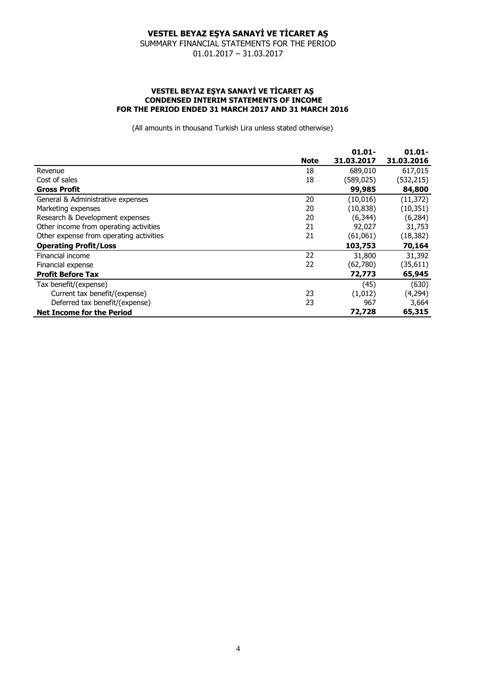SUMMARY FINANCIAL STATEMENTS FOR THE PERIOD 01.01.2017 – 31.03.2017

#### **VESTEL BEYAZ EŞYA SANAYİ VE TİCARET AŞ CONDENSED INTERIM STATEMENTS OF INCOME FOR THE PERIOD ENDED 31 MARCH 2017 AND 31 MARCH 2016**

(All amounts in thousand Turkish Lira unless stated otherwise)

|                                         |             | $01.01 -$  | $01.01 -$  |
|-----------------------------------------|-------------|------------|------------|
|                                         | <b>Note</b> | 31.03.2017 | 31.03.2016 |
| Revenue                                 | 18          | 689,010    | 617,015    |
| Cost of sales                           | 18          | (589,025)  | (532, 215) |
| <b>Gross Profit</b>                     |             | 99,985     | 84,800     |
| General & Administrative expenses       | 20          | (10, 016)  | (11, 372)  |
| Marketing expenses                      | 20          | (10, 838)  | (10, 351)  |
| Research & Development expenses         | 20          | (6, 344)   | (6, 284)   |
| Other income from operating activities  | 21          | 92,027     | 31,753     |
| Other expense from operating activities | 21          | (61,061)   | (18, 382)  |
| <b>Operating Profit/Loss</b>            |             | 103,753    | 70,164     |
| Financial income                        | 22          | 31,800     | 31,392     |
| Financial expense                       | 22          | (62,780)   | (35, 611)  |
| <b>Profit Before Tax</b>                |             | 72,773     | 65,945     |
| Tax benefit/(expense)                   |             | (45)       | (630)      |
| Current tax benefit/(expense)           | 23          | (1,012)    | (4,294)    |
| Deferred tax benefit/(expense)          | 23          | 967        | 3,664      |
| <b>Net Income for the Period</b>        |             | 72,728     | 65,315     |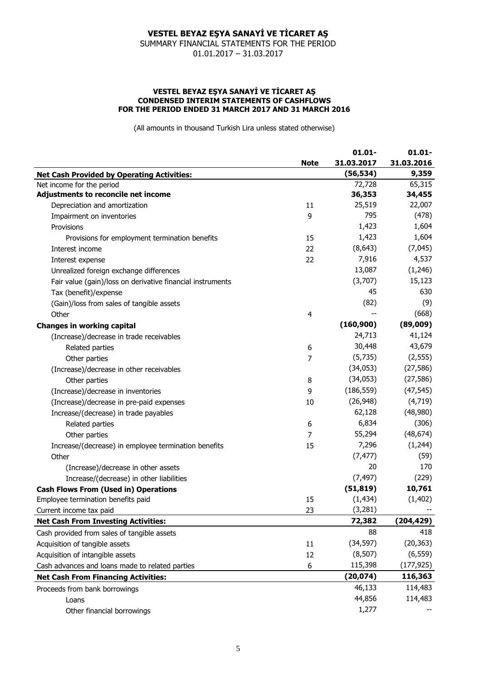SUMMARY FINANCIAL STATEMENTS FOR THE PERIOD 01.01.2017 – 31.03.2017

#### **VESTEL BEYAZ EŞYA SANAYİ VE TİCARET AŞ CONDENSED INTERIM STATEMENTS OF CASHFLOWS FOR THE PERIOD ENDED 31 MARCH 2017 AND 31 MARCH 2016**

(All amounts in thousand Turkish Lira unless stated otherwise)

|                                                            | <b>Note</b>             | $01.01 -$<br>31.03.2017 | $01.01 -$<br>31.03.2016 |
|------------------------------------------------------------|-------------------------|-------------------------|-------------------------|
|                                                            |                         |                         |                         |
| <b>Net Cash Provided by Operating Activities:</b>          |                         | (56, 534)               | 9,359                   |
| Net income for the period                                  |                         | 72,728                  | 65,315                  |
| Adjustments to reconcile net income                        |                         | 36,353                  | 34,455                  |
| Depreciation and amortization                              | 11                      | 25,519                  | 22,007                  |
| Impairment on inventories                                  | 9                       | 795                     | (478)                   |
| Provisions                                                 |                         | 1,423                   | 1,604                   |
| Provisions for employment termination benefits             | 15                      | 1,423                   | 1,604                   |
| Interest income                                            | 22                      | (8,643)                 | (7,045)                 |
| Interest expense                                           | 22                      | 7,916                   | 4,537                   |
| Unrealized foreign exchange differences                    |                         | 13,087                  | (1,246)                 |
| Fair value (gain)/loss on derivative financial instruments |                         | (3,707)                 | 15,123                  |
| Tax (benefit)/expense                                      |                         | 45                      | 630                     |
| (Gain)/loss from sales of tangible assets                  |                         | (82)                    | (9)                     |
| Other                                                      | $\overline{\mathbf{4}}$ |                         | (668)                   |
| <b>Changes in working capital</b>                          |                         | (160, 900)              | (89,009)                |
| (Increase)/decrease in trade receivables                   |                         | 24,713                  | 41,124                  |
| Related parties                                            | 6                       | 30,448                  | 43,679                  |
| Other parties                                              | 7                       | (5,735)                 | (2, 555)                |
| (Increase)/decrease in other receivables                   |                         | (34, 053)               | (27, 586)               |
| Other parties                                              | 8                       | (34, 053)               | (27, 586)               |
| (Increase)/decrease in inventories                         | 9                       | (186, 559)              | (47, 545)               |
| (Increase)/decrease in pre-paid expenses                   | 10                      | (26, 948)               | (4,719)                 |
| Increase/(decrease) in trade payables                      |                         | 62,128                  | (48,980)                |
| Related parties                                            | 6                       | 6,834                   | (306)                   |
| Other parties                                              | 7                       | 55,294                  | (48, 674)               |
| Increase/(decrease) in employee termination benefits       | 15                      | 7,296                   | (1,244)                 |
| Other                                                      |                         | (7, 477)                | (59)                    |
| (Increase)/decrease in other assets                        |                         | 20                      | 170                     |
| Increase/(decrease) in other liabilities                   |                         | (7, 497)                | (229)                   |
| <b>Cash Flows From (Used in) Operations</b>                |                         | (51, 819)               | 10,761                  |
| Employee termination benefits paid                         | 15                      | (1, 434)                | (1, 402)                |
| Current income tax paid                                    | 23                      | (3, 281)                |                         |
| <b>Net Cash From Investing Activities:</b>                 |                         | 72,382                  | (204, 429)              |
| Cash provided from sales of tangible assets                |                         | 88                      | 418                     |
| Acquisition of tangible assets                             | 11                      | (34, 597)               | (20, 363)               |
| Acquisition of intangible assets                           | 12                      | (8, 507)                | (6, 559)                |
| Cash advances and loans made to related parties            | 6                       | 115,398                 | (177, 925)              |
| <b>Net Cash From Financing Activities:</b>                 |                         | (20, 074)               | 116,363                 |
| Proceeds from bank borrowings                              |                         | 46,133                  | 114,483                 |
| Loans                                                      |                         | 44,856                  | 114,483                 |
| Other financial borrowings                                 |                         | 1,277                   |                         |